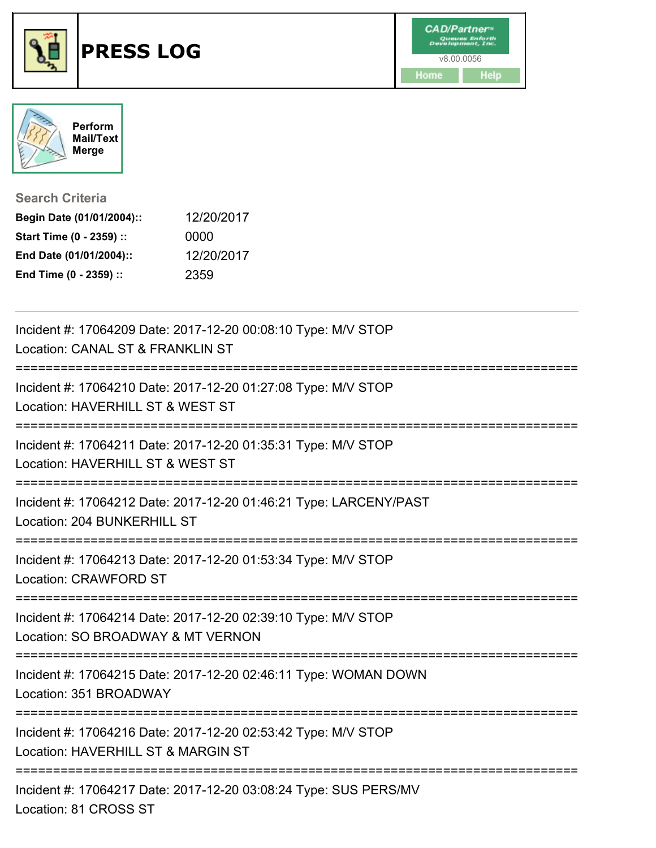



**Search Criteria**

| Begin Date (01/01/2004):: | 12/20/2017 |
|---------------------------|------------|
| Start Time (0 - 2359) ::  | 0000       |
| End Date (01/01/2004)::   | 12/20/2017 |
| End Time (0 - 2359) ::    | 2359       |

| Incident #: 17064209 Date: 2017-12-20 00:08:10 Type: M/V STOP<br>Location: CANAL ST & FRANKLIN ST                                                      |
|--------------------------------------------------------------------------------------------------------------------------------------------------------|
| ===========================<br>==================<br>Incident #: 17064210 Date: 2017-12-20 01:27:08 Type: M/V STOP<br>Location: HAVERHILL ST & WEST ST |
| ;=================================<br>Incident #: 17064211 Date: 2017-12-20 01:35:31 Type: M/V STOP<br>Location: HAVERHILL ST & WEST ST                |
| Incident #: 17064212 Date: 2017-12-20 01:46:21 Type: LARCENY/PAST<br>Location: 204 BUNKERHILL ST                                                       |
| Incident #: 17064213 Date: 2017-12-20 01:53:34 Type: M/V STOP<br>Location: CRAWFORD ST<br>---------------------------------                            |
| Incident #: 17064214 Date: 2017-12-20 02:39:10 Type: M/V STOP<br>Location: SO BROADWAY & MT VERNON                                                     |
| Incident #: 17064215 Date: 2017-12-20 02:46:11 Type: WOMAN DOWN<br>Location: 351 BROADWAY                                                              |
| Incident #: 17064216 Date: 2017-12-20 02:53:42 Type: M/V STOP<br>Location: HAVERHILL ST & MARGIN ST                                                    |
| Incident #: 17064217 Date: 2017-12-20 03:08:24 Type: SUS PERS/MV<br>Location: 81 CROSS ST                                                              |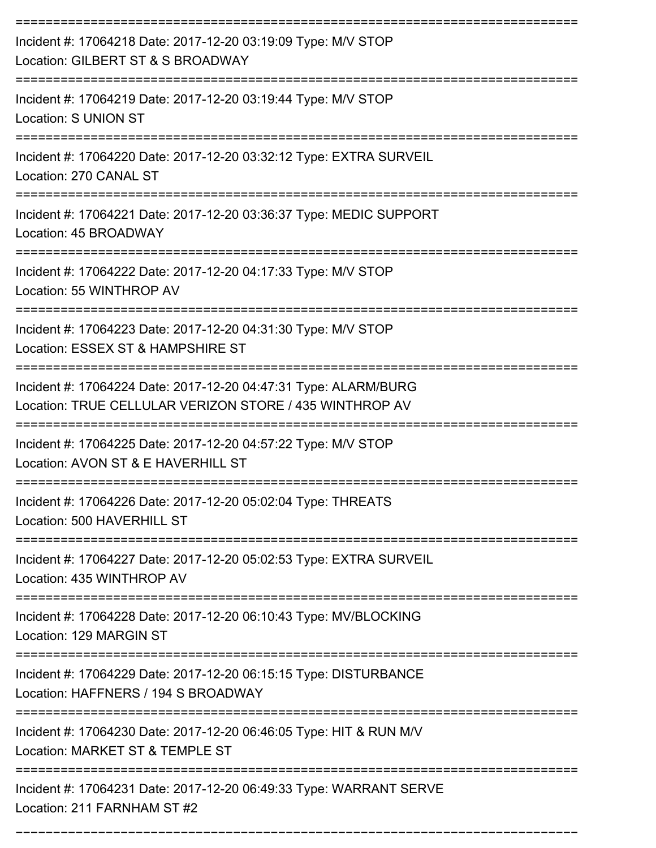| Incident #: 17064218 Date: 2017-12-20 03:19:09 Type: M/V STOP<br>Location: GILBERT ST & S BROADWAY                         |
|----------------------------------------------------------------------------------------------------------------------------|
| Incident #: 17064219 Date: 2017-12-20 03:19:44 Type: M/V STOP<br>Location: S UNION ST                                      |
| Incident #: 17064220 Date: 2017-12-20 03:32:12 Type: EXTRA SURVEIL<br>Location: 270 CANAL ST                               |
| Incident #: 17064221 Date: 2017-12-20 03:36:37 Type: MEDIC SUPPORT<br>Location: 45 BROADWAY                                |
| Incident #: 17064222 Date: 2017-12-20 04:17:33 Type: M/V STOP<br>Location: 55 WINTHROP AV                                  |
| Incident #: 17064223 Date: 2017-12-20 04:31:30 Type: M/V STOP<br>Location: ESSEX ST & HAMPSHIRE ST                         |
| Incident #: 17064224 Date: 2017-12-20 04:47:31 Type: ALARM/BURG<br>Location: TRUE CELLULAR VERIZON STORE / 435 WINTHROP AV |
| Incident #: 17064225 Date: 2017-12-20 04:57:22 Type: M/V STOP<br>Location: AVON ST & E HAVERHILL ST                        |
| Incident #: 17064226 Date: 2017-12-20 05:02:04 Type: THREATS<br>Location: 500 HAVERHILL ST                                 |
| Incident #: 17064227 Date: 2017-12-20 05:02:53 Type: EXTRA SURVEIL<br>Location: 435 WINTHROP AV                            |
| Incident #: 17064228 Date: 2017-12-20 06:10:43 Type: MV/BLOCKING<br>Location: 129 MARGIN ST                                |
| Incident #: 17064229 Date: 2017-12-20 06:15:15 Type: DISTURBANCE<br>Location: HAFFNERS / 194 S BROADWAY                    |
| Incident #: 17064230 Date: 2017-12-20 06:46:05 Type: HIT & RUN M/V<br>Location: MARKET ST & TEMPLE ST                      |
| Incident #: 17064231 Date: 2017-12-20 06:49:33 Type: WARRANT SERVE<br>Location: 211 FARNHAM ST #2                          |

===========================================================================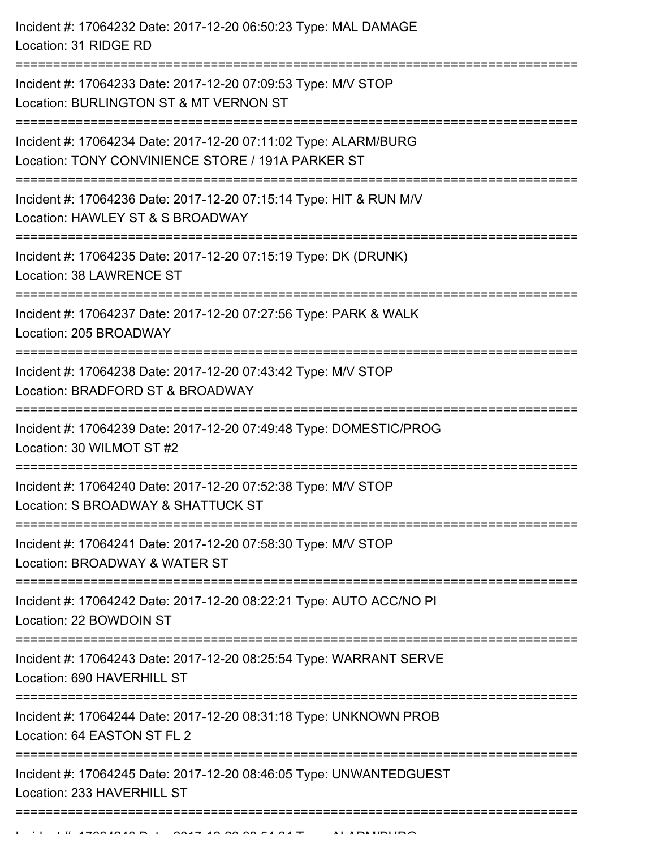| Incident #: 17064232 Date: 2017-12-20 06:50:23 Type: MAL DAMAGE<br>Location: 31 RIDGE RD                                               |
|----------------------------------------------------------------------------------------------------------------------------------------|
| Incident #: 17064233 Date: 2017-12-20 07:09:53 Type: M/V STOP<br>Location: BURLINGTON ST & MT VERNON ST<br>;========================== |
| Incident #: 17064234 Date: 2017-12-20 07:11:02 Type: ALARM/BURG<br>Location: TONY CONVINIENCE STORE / 191A PARKER ST                   |
| Incident #: 17064236 Date: 2017-12-20 07:15:14 Type: HIT & RUN M/V<br>Location: HAWLEY ST & S BROADWAY                                 |
| Incident #: 17064235 Date: 2017-12-20 07:15:19 Type: DK (DRUNK)<br>Location: 38 LAWRENCE ST                                            |
| Incident #: 17064237 Date: 2017-12-20 07:27:56 Type: PARK & WALK<br>Location: 205 BROADWAY                                             |
| Incident #: 17064238 Date: 2017-12-20 07:43:42 Type: M/V STOP<br>Location: BRADFORD ST & BROADWAY                                      |
| Incident #: 17064239 Date: 2017-12-20 07:49:48 Type: DOMESTIC/PROG<br>Location: 30 WILMOT ST #2                                        |
| Incident #: 17064240 Date: 2017-12-20 07:52:38 Type: M/V STOP<br>Location: S BROADWAY & SHATTUCK ST                                    |
| Incident #: 17064241 Date: 2017-12-20 07:58:30 Type: M/V STOP<br>Location: BROADWAY & WATER ST                                         |
| Incident #: 17064242 Date: 2017-12-20 08:22:21 Type: AUTO ACC/NO PI<br>Location: 22 BOWDOIN ST                                         |
| Incident #: 17064243 Date: 2017-12-20 08:25:54 Type: WARRANT SERVE<br>Location: 690 HAVERHILL ST                                       |
| Incident #: 17064244 Date: 2017-12-20 08:31:18 Type: UNKNOWN PROB<br>Location: 64 EASTON ST FL 2                                       |
| Incident #: 17064245 Date: 2017-12-20 08:46:05 Type: UNWANTEDGUEST<br>Location: 233 HAVERHILL ST                                       |
|                                                                                                                                        |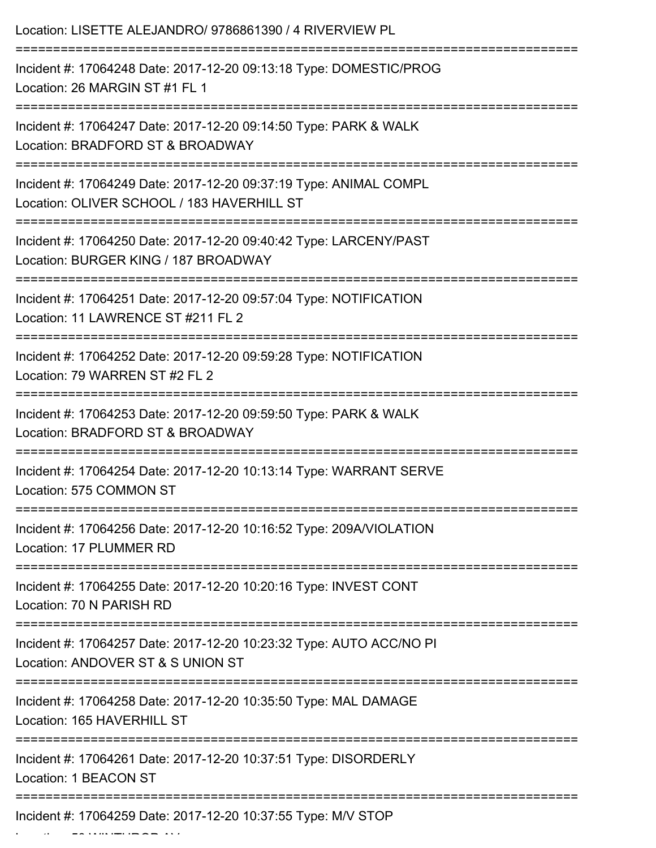| Location: LISETTE ALEJANDRO/ 9786861390 / 4 RIVERVIEW PL                                                                                      |
|-----------------------------------------------------------------------------------------------------------------------------------------------|
| Incident #: 17064248 Date: 2017-12-20 09:13:18 Type: DOMESTIC/PROG<br>Location: 26 MARGIN ST #1 FL 1                                          |
| Incident #: 17064247 Date: 2017-12-20 09:14:50 Type: PARK & WALK<br>Location: BRADFORD ST & BROADWAY<br>;==================================== |
| Incident #: 17064249 Date: 2017-12-20 09:37:19 Type: ANIMAL COMPL<br>Location: OLIVER SCHOOL / 183 HAVERHILL ST                               |
| Incident #: 17064250 Date: 2017-12-20 09:40:42 Type: LARCENY/PAST<br>Location: BURGER KING / 187 BROADWAY                                     |
| Incident #: 17064251 Date: 2017-12-20 09:57:04 Type: NOTIFICATION<br>Location: 11 LAWRENCE ST #211 FL 2                                       |
| Incident #: 17064252 Date: 2017-12-20 09:59:28 Type: NOTIFICATION<br>Location: 79 WARREN ST #2 FL 2                                           |
| Incident #: 17064253 Date: 2017-12-20 09:59:50 Type: PARK & WALK<br>Location: BRADFORD ST & BROADWAY                                          |
| Incident #: 17064254 Date: 2017-12-20 10:13:14 Type: WARRANT SERVE<br>Location: 575 COMMON ST                                                 |
| Incident #: 17064256 Date: 2017-12-20 10:16:52 Type: 209A/VIOLATION<br>Location: 17 PLUMMER RD                                                |
| Incident #: 17064255 Date: 2017-12-20 10:20:16 Type: INVEST CONT<br>Location: 70 N PARISH RD                                                  |
| Incident #: 17064257 Date: 2017-12-20 10:23:32 Type: AUTO ACC/NO PI<br>Location: ANDOVER ST & S UNION ST                                      |
| Incident #: 17064258 Date: 2017-12-20 10:35:50 Type: MAL DAMAGE<br>Location: 165 HAVERHILL ST                                                 |
| Incident #: 17064261 Date: 2017-12-20 10:37:51 Type: DISORDERLY<br>Location: 1 BEACON ST                                                      |
| =====================<br>Incident #: 17064259 Date: 2017-12-20 10:37:55 Type: M/V STOP                                                        |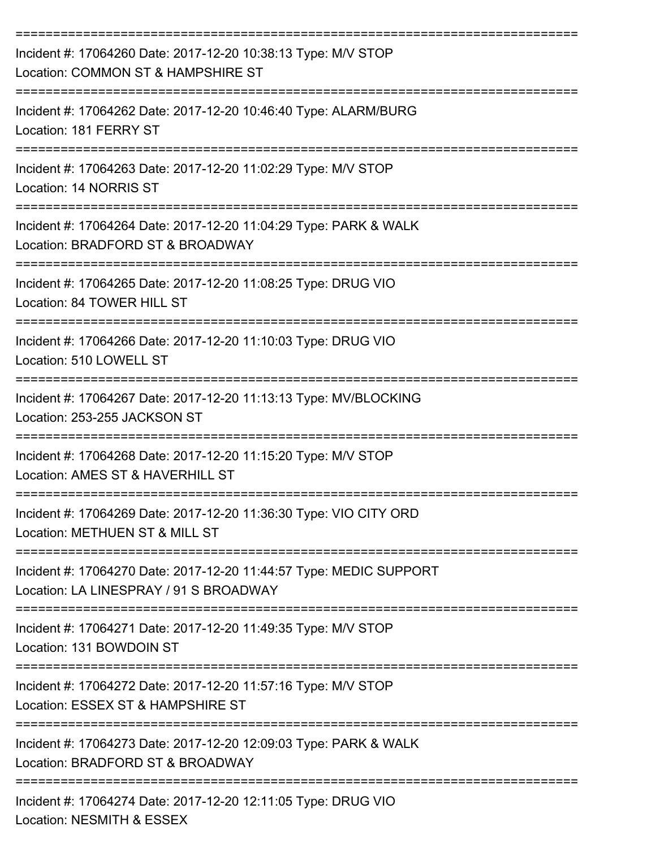| Incident #: 17064260 Date: 2017-12-20 10:38:13 Type: M/V STOP<br>Location: COMMON ST & HAMPSHIRE ST                                       |
|-------------------------------------------------------------------------------------------------------------------------------------------|
| Incident #: 17064262 Date: 2017-12-20 10:46:40 Type: ALARM/BURG<br>Location: 181 FERRY ST                                                 |
| Incident #: 17064263 Date: 2017-12-20 11:02:29 Type: M/V STOP<br>Location: 14 NORRIS ST                                                   |
| Incident #: 17064264 Date: 2017-12-20 11:04:29 Type: PARK & WALK<br>Location: BRADFORD ST & BROADWAY                                      |
| Incident #: 17064265 Date: 2017-12-20 11:08:25 Type: DRUG VIO<br>Location: 84 TOWER HILL ST                                               |
| Incident #: 17064266 Date: 2017-12-20 11:10:03 Type: DRUG VIO<br>Location: 510 LOWELL ST                                                  |
| Incident #: 17064267 Date: 2017-12-20 11:13:13 Type: MV/BLOCKING<br>Location: 253-255 JACKSON ST                                          |
| Incident #: 17064268 Date: 2017-12-20 11:15:20 Type: M/V STOP<br>Location: AMES ST & HAVERHILL ST                                         |
| Incident #: 17064269 Date: 2017-12-20 11:36:30 Type: VIO CITY ORD<br>Location: METHUEN ST & MILL ST                                       |
| -------------------------<br>Incident #: 17064270 Date: 2017-12-20 11:44:57 Type: MEDIC SUPPORT<br>Location: LA LINESPRAY / 91 S BROADWAY |
| Incident #: 17064271 Date: 2017-12-20 11:49:35 Type: M/V STOP<br>Location: 131 BOWDOIN ST                                                 |
| :================================<br>Incident #: 17064272 Date: 2017-12-20 11:57:16 Type: M/V STOP<br>Location: ESSEX ST & HAMPSHIRE ST   |
| Incident #: 17064273 Date: 2017-12-20 12:09:03 Type: PARK & WALK<br>Location: BRADFORD ST & BROADWAY                                      |
| Incident #: 17064274 Date: 2017-12-20 12:11:05 Type: DRUG VIO<br>Location: NESMITH & ESSEX                                                |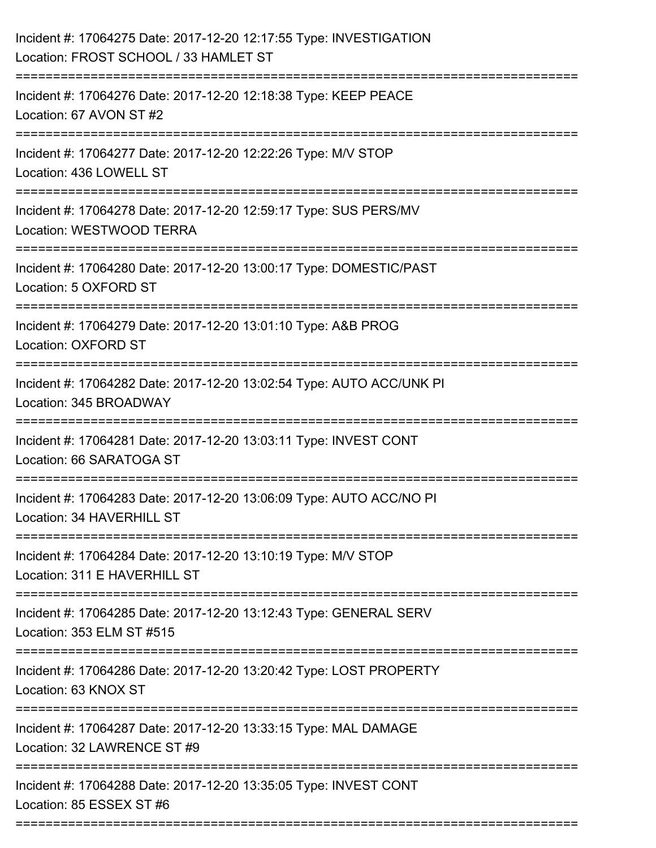| Incident #: 17064275 Date: 2017-12-20 12:17:55 Type: INVESTIGATION<br>Location: FROST SCHOOL / 33 HAMLET ST                 |
|-----------------------------------------------------------------------------------------------------------------------------|
| Incident #: 17064276 Date: 2017-12-20 12:18:38 Type: KEEP PEACE<br>Location: 67 AVON ST #2                                  |
| Incident #: 17064277 Date: 2017-12-20 12:22:26 Type: M/V STOP<br>Location: 436 LOWELL ST                                    |
| Incident #: 17064278 Date: 2017-12-20 12:59:17 Type: SUS PERS/MV<br>Location: WESTWOOD TERRA                                |
| Incident #: 17064280 Date: 2017-12-20 13:00:17 Type: DOMESTIC/PAST<br>Location: 5 OXFORD ST                                 |
| Incident #: 17064279 Date: 2017-12-20 13:01:10 Type: A&B PROG<br>Location: OXFORD ST                                        |
| Incident #: 17064282 Date: 2017-12-20 13:02:54 Type: AUTO ACC/UNK PI<br>Location: 345 BROADWAY                              |
| ---------------------------<br>Incident #: 17064281 Date: 2017-12-20 13:03:11 Type: INVEST CONT<br>Location: 66 SARATOGA ST |
| Incident #: 17064283 Date: 2017-12-20 13:06:09 Type: AUTO ACC/NO PI<br>Location: 34 HAVERHILL ST                            |
| Incident #: 17064284 Date: 2017-12-20 13:10:19 Type: M/V STOP<br>Location: 311 E HAVERHILL ST                               |
| Incident #: 17064285 Date: 2017-12-20 13:12:43 Type: GENERAL SERV<br>Location: 353 ELM ST #515                              |
| Incident #: 17064286 Date: 2017-12-20 13:20:42 Type: LOST PROPERTY<br>Location: 63 KNOX ST                                  |
| Incident #: 17064287 Date: 2017-12-20 13:33:15 Type: MAL DAMAGE<br>Location: 32 LAWRENCE ST #9                              |
| Incident #: 17064288 Date: 2017-12-20 13:35:05 Type: INVEST CONT<br>Location: 85 ESSEX ST #6                                |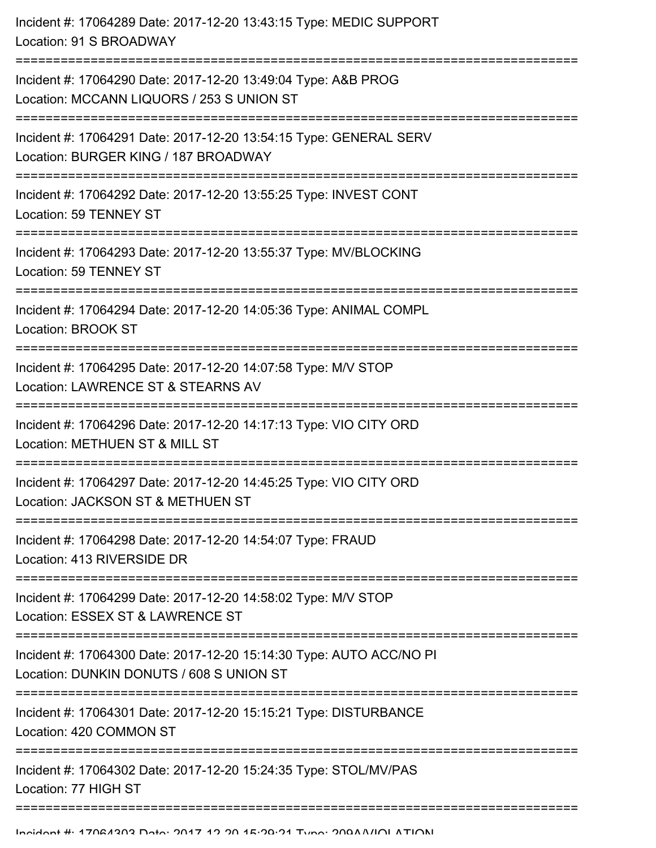| Incident #: 17064289 Date: 2017-12-20 13:43:15 Type: MEDIC SUPPORT<br>Location: 91 S BROADWAY                                                       |
|-----------------------------------------------------------------------------------------------------------------------------------------------------|
| Incident #: 17064290 Date: 2017-12-20 13:49:04 Type: A&B PROG<br>Location: MCCANN LIQUORS / 253 S UNION ST<br>;==================================== |
| Incident #: 17064291 Date: 2017-12-20 13:54:15 Type: GENERAL SERV<br>Location: BURGER KING / 187 BROADWAY                                           |
| Incident #: 17064292 Date: 2017-12-20 13:55:25 Type: INVEST CONT<br>Location: 59 TENNEY ST                                                          |
| Incident #: 17064293 Date: 2017-12-20 13:55:37 Type: MV/BLOCKING<br>Location: 59 TENNEY ST                                                          |
| Incident #: 17064294 Date: 2017-12-20 14:05:36 Type: ANIMAL COMPL<br>Location: BROOK ST                                                             |
| Incident #: 17064295 Date: 2017-12-20 14:07:58 Type: M/V STOP<br>Location: LAWRENCE ST & STEARNS AV                                                 |
| Incident #: 17064296 Date: 2017-12-20 14:17:13 Type: VIO CITY ORD<br>Location: METHUEN ST & MILL ST                                                 |
| Incident #: 17064297 Date: 2017-12-20 14:45:25 Type: VIO CITY ORD<br>Location: JACKSON ST & METHUEN ST                                              |
| Incident #: 17064298 Date: 2017-12-20 14:54:07 Type: FRAUD<br>Location: 413 RIVERSIDE DR                                                            |
| Incident #: 17064299 Date: 2017-12-20 14:58:02 Type: M/V STOP<br>Location: ESSEX ST & LAWRENCE ST                                                   |
| Incident #: 17064300 Date: 2017-12-20 15:14:30 Type: AUTO ACC/NO PI<br>Location: DUNKIN DONUTS / 608 S UNION ST                                     |
| Incident #: 17064301 Date: 2017-12-20 15:15:21 Type: DISTURBANCE<br>Location: 420 COMMON ST                                                         |
| Incident #: 17064302 Date: 2017-12-20 15:24:35 Type: STOL/MV/PAS<br>Location: 77 HIGH ST                                                            |
|                                                                                                                                                     |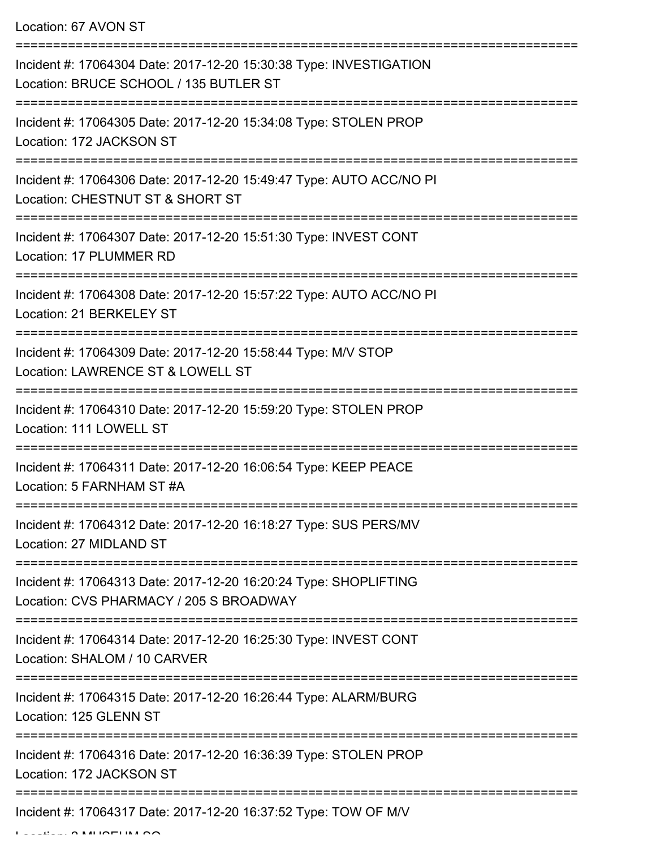Location: 67 AVON ST

| Incident #: 17064304 Date: 2017-12-20 15:30:38 Type: INVESTIGATION<br>Location: BRUCE SCHOOL / 135 BUTLER ST |
|--------------------------------------------------------------------------------------------------------------|
| Incident #: 17064305 Date: 2017-12-20 15:34:08 Type: STOLEN PROP<br>Location: 172 JACKSON ST                 |
| Incident #: 17064306 Date: 2017-12-20 15:49:47 Type: AUTO ACC/NO PI<br>Location: CHESTNUT ST & SHORT ST      |
| Incident #: 17064307 Date: 2017-12-20 15:51:30 Type: INVEST CONT<br>Location: 17 PLUMMER RD                  |
| Incident #: 17064308 Date: 2017-12-20 15:57:22 Type: AUTO ACC/NO PI<br>Location: 21 BERKELEY ST              |
| Incident #: 17064309 Date: 2017-12-20 15:58:44 Type: M/V STOP<br>Location: LAWRENCE ST & LOWELL ST           |
| Incident #: 17064310 Date: 2017-12-20 15:59:20 Type: STOLEN PROP<br>Location: 111 LOWELL ST                  |
| Incident #: 17064311 Date: 2017-12-20 16:06:54 Type: KEEP PEACE<br>Location: 5 FARNHAM ST #A                 |
| Incident #: 17064312 Date: 2017-12-20 16:18:27 Type: SUS PERS/MV<br>Location: 27 MIDLAND ST                  |
| Incident #: 17064313 Date: 2017-12-20 16:20:24 Type: SHOPLIFTING<br>Location: CVS PHARMACY / 205 S BROADWAY  |
| Incident #: 17064314 Date: 2017-12-20 16:25:30 Type: INVEST CONT<br>Location: SHALOM / 10 CARVER             |
| Incident #: 17064315 Date: 2017-12-20 16:26:44 Type: ALARM/BURG<br>Location: 125 GLENN ST                    |
| Incident #: 17064316 Date: 2017-12-20 16:36:39 Type: STOLEN PROP<br>Location: 172 JACKSON ST                 |
| Incident #: 17064317 Date: 2017-12-20 16:37:52 Type: TOW OF M/V                                              |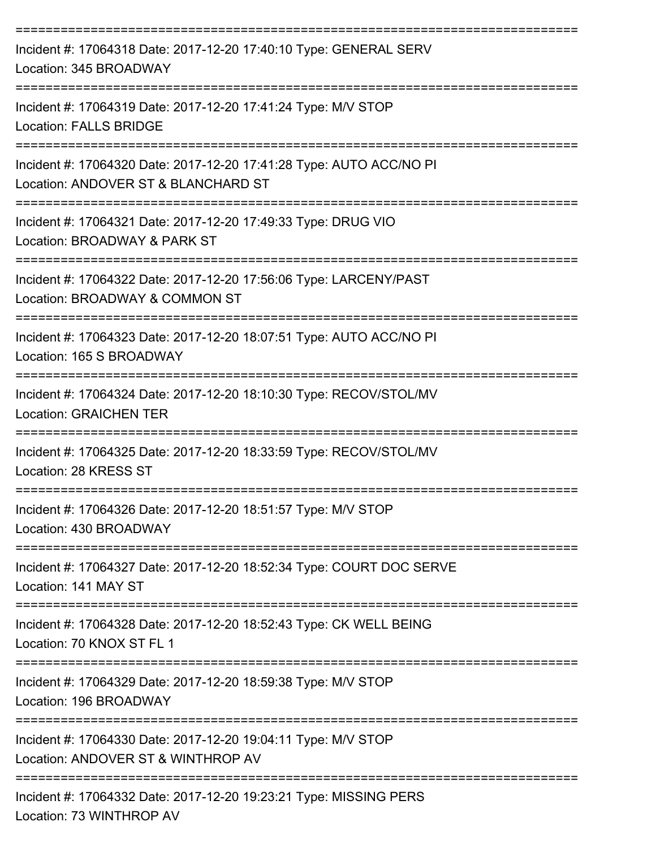| Incident #: 17064318 Date: 2017-12-20 17:40:10 Type: GENERAL SERV<br>Location: 345 BROADWAY                            |
|------------------------------------------------------------------------------------------------------------------------|
| Incident #: 17064319 Date: 2017-12-20 17:41:24 Type: M/V STOP<br><b>Location: FALLS BRIDGE</b>                         |
| Incident #: 17064320 Date: 2017-12-20 17:41:28 Type: AUTO ACC/NO PI<br>Location: ANDOVER ST & BLANCHARD ST             |
| Incident #: 17064321 Date: 2017-12-20 17:49:33 Type: DRUG VIO<br>Location: BROADWAY & PARK ST                          |
| Incident #: 17064322 Date: 2017-12-20 17:56:06 Type: LARCENY/PAST<br>Location: BROADWAY & COMMON ST                    |
| Incident #: 17064323 Date: 2017-12-20 18:07:51 Type: AUTO ACC/NO PI<br>Location: 165 S BROADWAY                        |
| Incident #: 17064324 Date: 2017-12-20 18:10:30 Type: RECOV/STOL/MV<br><b>Location: GRAICHEN TER</b>                    |
| Incident #: 17064325 Date: 2017-12-20 18:33:59 Type: RECOV/STOL/MV<br>Location: 28 KRESS ST                            |
| Incident #: 17064326 Date: 2017-12-20 18:51:57 Type: M/V STOP<br>Location: 430 BROADWAY                                |
| Incident #: 17064327 Date: 2017-12-20 18:52:34 Type: COURT DOC SERVE<br>Location: 141 MAY ST                           |
| Incident #: 17064328 Date: 2017-12-20 18:52:43 Type: CK WELL BEING<br>Location: 70 KNOX ST FL 1                        |
| ---------------------------<br>Incident #: 17064329 Date: 2017-12-20 18:59:38 Type: M/V STOP<br>Location: 196 BROADWAY |
| Incident #: 17064330 Date: 2017-12-20 19:04:11 Type: M/V STOP<br>Location: ANDOVER ST & WINTHROP AV                    |
| Incident #: 17064332 Date: 2017-12-20 19:23:21 Type: MISSING PERS<br>Location: 73 WINTHROP AV                          |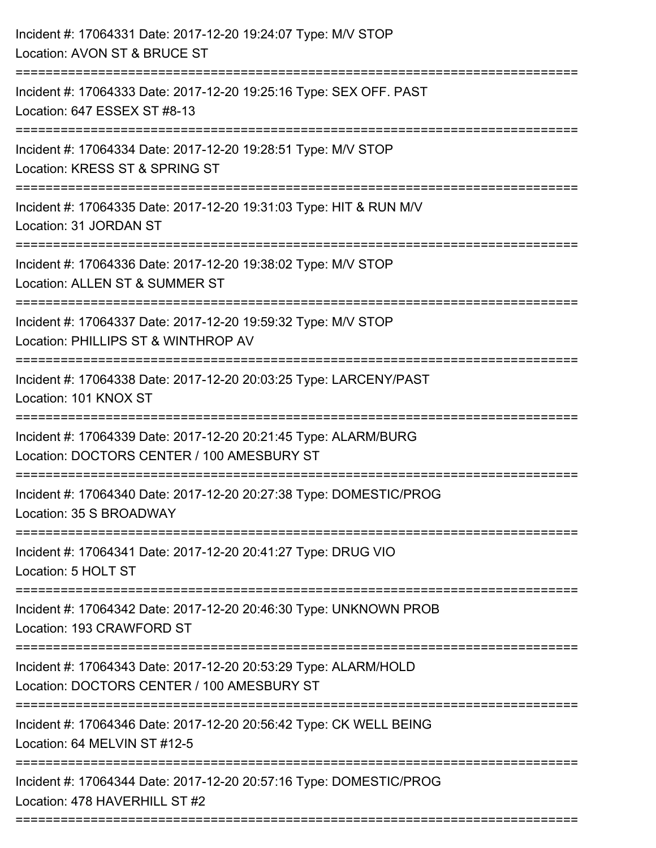| Incident #: 17064331 Date: 2017-12-20 19:24:07 Type: M/V STOP<br>Location: AVON ST & BRUCE ST                                                                    |
|------------------------------------------------------------------------------------------------------------------------------------------------------------------|
| Incident #: 17064333 Date: 2017-12-20 19:25:16 Type: SEX OFF. PAST<br>Location: 647 ESSEX ST #8-13                                                               |
| Incident #: 17064334 Date: 2017-12-20 19:28:51 Type: M/V STOP<br>Location: KRESS ST & SPRING ST<br>-----------------------<br>---------------------------------- |
| Incident #: 17064335 Date: 2017-12-20 19:31:03 Type: HIT & RUN M/V<br>Location: 31 JORDAN ST                                                                     |
| Incident #: 17064336 Date: 2017-12-20 19:38:02 Type: M/V STOP<br>Location: ALLEN ST & SUMMER ST                                                                  |
| Incident #: 17064337 Date: 2017-12-20 19:59:32 Type: M/V STOP<br>Location: PHILLIPS ST & WINTHROP AV                                                             |
| Incident #: 17064338 Date: 2017-12-20 20:03:25 Type: LARCENY/PAST<br>Location: 101 KNOX ST                                                                       |
| Incident #: 17064339 Date: 2017-12-20 20:21:45 Type: ALARM/BURG<br>Location: DOCTORS CENTER / 100 AMESBURY ST                                                    |
| Incident #: 17064340 Date: 2017-12-20 20:27:38 Type: DOMESTIC/PROG<br>Location: 35 S BROADWAY                                                                    |
| Incident #: 17064341 Date: 2017-12-20 20:41:27 Type: DRUG VIO<br>Location: 5 HOLT ST                                                                             |
| Incident #: 17064342 Date: 2017-12-20 20:46:30 Type: UNKNOWN PROB<br>Location: 193 CRAWFORD ST                                                                   |
| Incident #: 17064343 Date: 2017-12-20 20:53:29 Type: ALARM/HOLD<br>Location: DOCTORS CENTER / 100 AMESBURY ST                                                    |
| Incident #: 17064346 Date: 2017-12-20 20:56:42 Type: CK WELL BEING<br>Location: 64 MELVIN ST #12-5                                                               |
| Incident #: 17064344 Date: 2017-12-20 20:57:16 Type: DOMESTIC/PROG<br>Location: 478 HAVERHILL ST #2                                                              |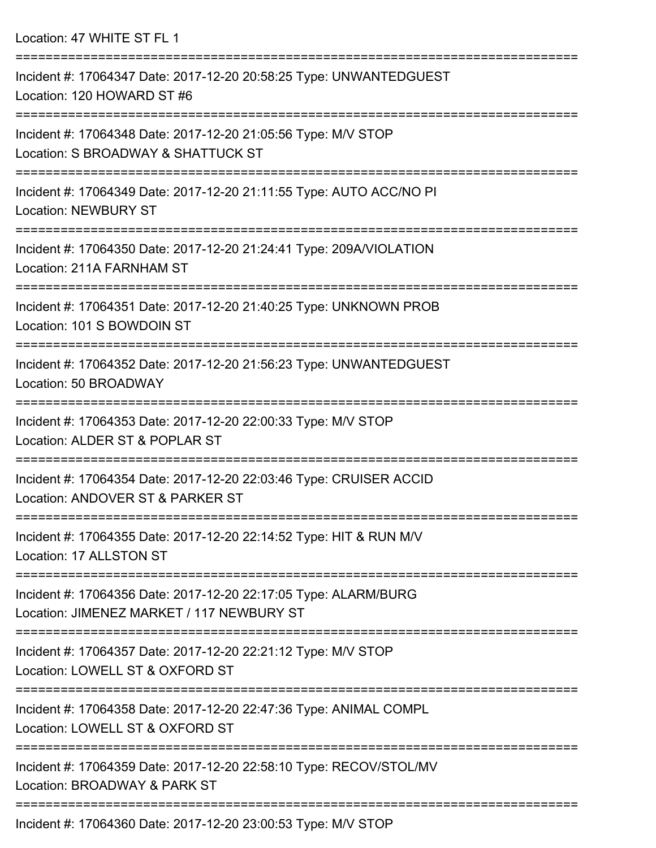| Location: 47 WHITE ST FL 1                                                                                                        |
|-----------------------------------------------------------------------------------------------------------------------------------|
| Incident #: 17064347 Date: 2017-12-20 20:58:25 Type: UNWANTEDGUEST<br>Location: 120 HOWARD ST #6                                  |
| Incident #: 17064348 Date: 2017-12-20 21:05:56 Type: M/V STOP<br>Location: S BROADWAY & SHATTUCK ST                               |
| Incident #: 17064349 Date: 2017-12-20 21:11:55 Type: AUTO ACC/NO PI<br>Location: NEWBURY ST                                       |
| Incident #: 17064350 Date: 2017-12-20 21:24:41 Type: 209A/VIOLATION<br>Location: 211A FARNHAM ST<br>:============================ |
| Incident #: 17064351 Date: 2017-12-20 21:40:25 Type: UNKNOWN PROB<br>Location: 101 S BOWDOIN ST                                   |
| Incident #: 17064352 Date: 2017-12-20 21:56:23 Type: UNWANTEDGUEST<br>Location: 50 BROADWAY                                       |
| Incident #: 17064353 Date: 2017-12-20 22:00:33 Type: M/V STOP<br>Location: ALDER ST & POPLAR ST                                   |
| Incident #: 17064354 Date: 2017-12-20 22:03:46 Type: CRUISER ACCID<br>Location: ANDOVER ST & PARKER ST                            |
| Incident #: 17064355 Date: 2017-12-20 22:14:52 Type: HIT & RUN M/V<br>Location: 17 ALLSTON ST                                     |
| Incident #: 17064356 Date: 2017-12-20 22:17:05 Type: ALARM/BURG<br>Location: JIMENEZ MARKET / 117 NEWBURY ST                      |
| Incident #: 17064357 Date: 2017-12-20 22:21:12 Type: M/V STOP<br>Location: LOWELL ST & OXFORD ST                                  |
| Incident #: 17064358 Date: 2017-12-20 22:47:36 Type: ANIMAL COMPL<br>Location: LOWELL ST & OXFORD ST                              |
| Incident #: 17064359 Date: 2017-12-20 22:58:10 Type: RECOV/STOL/MV<br>Location: BROADWAY & PARK ST                                |
|                                                                                                                                   |

Incident #: 17064360 Date: 2017-12-20 23:00:53 Type: M/V STOP